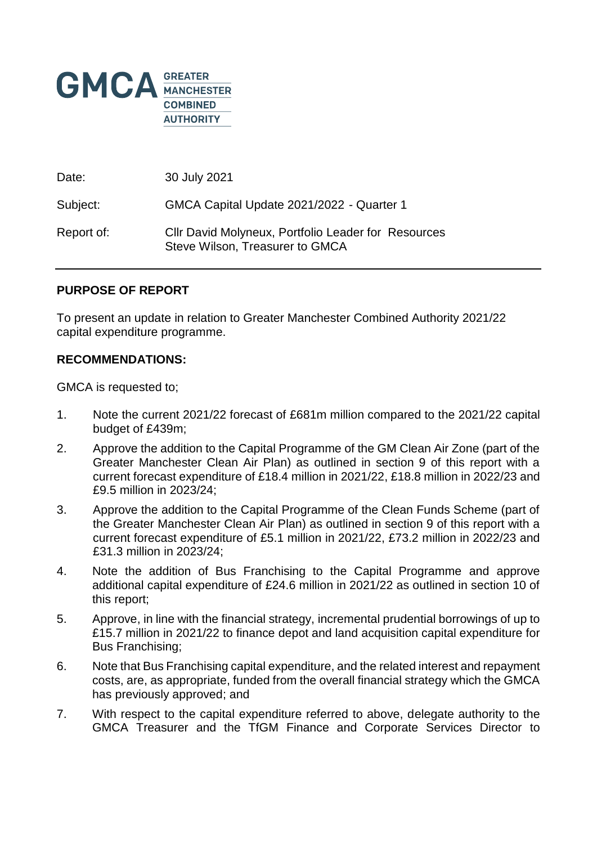

Date: 30 July 2021

Subject: GMCA Capital Update 2021/2022 - Quarter 1

Report of: Cllr David Molyneux, Portfolio Leader for Resources Steve Wilson, Treasurer to GMCA

#### **PURPOSE OF REPORT**

To present an update in relation to Greater Manchester Combined Authority 2021/22 capital expenditure programme.

#### **RECOMMENDATIONS:**

GMCA is requested to;

- 1. Note the current 2021/22 forecast of £681m million compared to the 2021/22 capital budget of £439m;
- 2. Approve the addition to the Capital Programme of the GM Clean Air Zone (part of the Greater Manchester Clean Air Plan) as outlined in section 9 of this report with a current forecast expenditure of £18.4 million in 2021/22, £18.8 million in 2022/23 and £9.5 million in 2023/24;
- 3. Approve the addition to the Capital Programme of the Clean Funds Scheme (part of the Greater Manchester Clean Air Plan) as outlined in section 9 of this report with a current forecast expenditure of £5.1 million in 2021/22, £73.2 million in 2022/23 and £31.3 million in 2023/24;
- 4. Note the addition of Bus Franchising to the Capital Programme and approve additional capital expenditure of £24.6 million in 2021/22 as outlined in section 10 of this report;
- 5. Approve, in line with the financial strategy, incremental prudential borrowings of up to £15.7 million in 2021/22 to finance depot and land acquisition capital expenditure for Bus Franchising;
- 6. Note that Bus Franchising capital expenditure, and the related interest and repayment costs, are, as appropriate, funded from the overall financial strategy which the GMCA has previously approved; and
- 7. With respect to the capital expenditure referred to above, delegate authority to the GMCA Treasurer and the TfGM Finance and Corporate Services Director to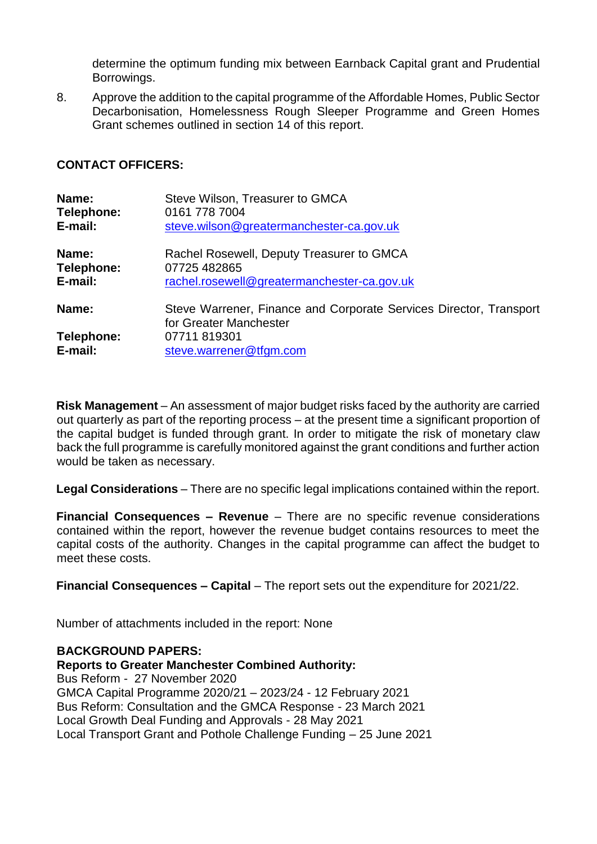determine the optimum funding mix between Earnback Capital grant and Prudential Borrowings.

8. Approve the addition to the capital programme of the Affordable Homes, Public Sector Decarbonisation, Homelessness Rough Sleeper Programme and Green Homes Grant schemes outlined in section 14 of this report.

### **CONTACT OFFICERS:**

| Name:                          | Steve Wilson, Treasurer to GMCA                                                                                                         |
|--------------------------------|-----------------------------------------------------------------------------------------------------------------------------------------|
| Telephone:                     | 0161 778 7004                                                                                                                           |
| E-mail:                        | steve.wilson@greatermanchester-ca.gov.uk                                                                                                |
| Name:                          | Rachel Rosewell, Deputy Treasurer to GMCA                                                                                               |
| Telephone:                     | 07725 482865                                                                                                                            |
| E-mail:                        | rachel.rosewell@greatermanchester-ca.gov.uk                                                                                             |
| Name:<br>Telephone:<br>E-mail: | Steve Warrener, Finance and Corporate Services Director, Transport<br>for Greater Manchester<br>07711 819301<br>steve.warrener@tfgm.com |

**Risk Management** – An assessment of major budget risks faced by the authority are carried out quarterly as part of the reporting process – at the present time a significant proportion of the capital budget is funded through grant. In order to mitigate the risk of monetary claw back the full programme is carefully monitored against the grant conditions and further action would be taken as necessary.

**Legal Considerations** – There are no specific legal implications contained within the report.

**Financial Consequences – Revenue** – There are no specific revenue considerations contained within the report, however the revenue budget contains resources to meet the capital costs of the authority. Changes in the capital programme can affect the budget to meet these costs.

**Financial Consequences – Capital** – The report sets out the expenditure for 2021/22.

Number of attachments included in the report: None

### **BACKGROUND PAPERS:**

#### **Reports to Greater Manchester Combined Authority:**

Bus Reform - 27 November 2020 GMCA Capital Programme 2020/21 – 2023/24 - 12 February 2021 Bus Reform: Consultation and the GMCA Response - 23 March 2021 Local Growth Deal Funding and Approvals - 28 May 2021 Local Transport Grant and Pothole Challenge Funding – 25 June 2021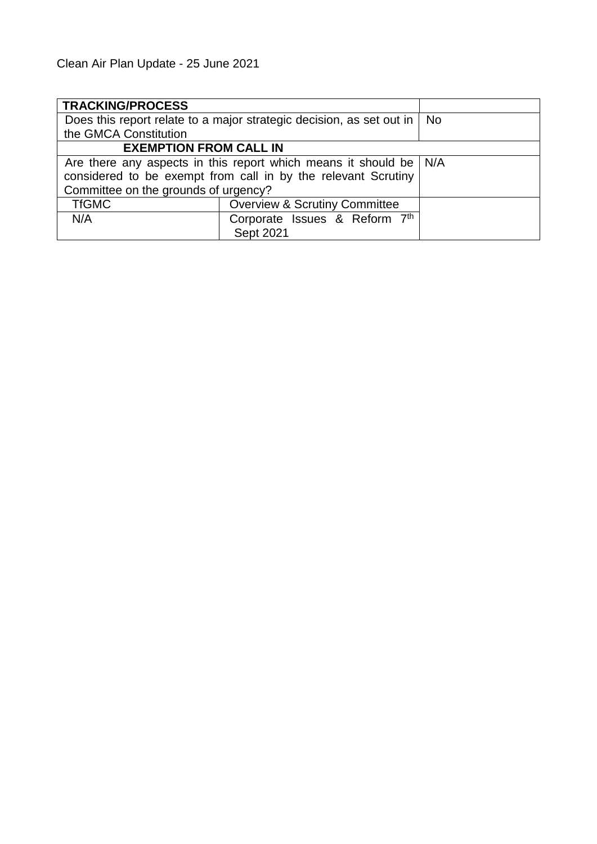| <b>TRACKING/PROCESS</b>                                                   |                                          |    |  |
|---------------------------------------------------------------------------|------------------------------------------|----|--|
| Does this report relate to a major strategic decision, as set out in      |                                          | No |  |
| the GMCA Constitution                                                     |                                          |    |  |
| <b>EXEMPTION FROM CALL IN</b>                                             |                                          |    |  |
| Are there any aspects in this report which means it should be $\vert$ N/A |                                          |    |  |
| considered to be exempt from call in by the relevant Scrutiny             |                                          |    |  |
| Committee on the grounds of urgency?                                      |                                          |    |  |
| <b>TfGMC</b>                                                              | <b>Overview &amp; Scrutiny Committee</b> |    |  |
| N/A                                                                       | Corporate Issues & Reform 7th            |    |  |
|                                                                           | Sept 2021                                |    |  |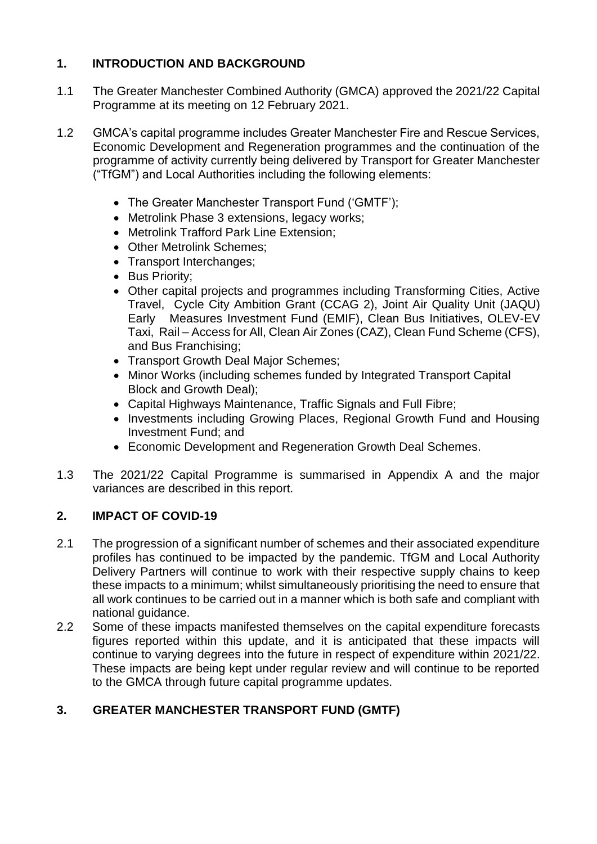# **1. INTRODUCTION AND BACKGROUND**

- 1.1 The Greater Manchester Combined Authority (GMCA) approved the 2021/22 Capital Programme at its meeting on 12 February 2021.
- 1.2 GMCA's capital programme includes Greater Manchester Fire and Rescue Services, Economic Development and Regeneration programmes and the continuation of the programme of activity currently being delivered by Transport for Greater Manchester ("TfGM") and Local Authorities including the following elements:
	- The Greater Manchester Transport Fund ('GMTF');
	- Metrolink Phase 3 extensions, legacy works;
	- Metrolink Trafford Park Line Extension;
	- Other Metrolink Schemes;
	- Transport Interchanges:
	- Bus Priority;
	- Other capital projects and programmes including Transforming Cities, Active Travel, Cycle City Ambition Grant (CCAG 2), Joint Air Quality Unit (JAQU) Early Measures Investment Fund (EMIF), Clean Bus Initiatives, OLEV-EV Taxi, Rail – Access for All, Clean Air Zones (CAZ), Clean Fund Scheme (CFS), and Bus Franchising;
	- Transport Growth Deal Major Schemes;
	- Minor Works (including schemes funded by Integrated Transport Capital Block and Growth Deal);
	- Capital Highways Maintenance, Traffic Signals and Full Fibre;
	- Investments including Growing Places, Regional Growth Fund and Housing Investment Fund; and
	- Economic Development and Regeneration Growth Deal Schemes.
- 1.3 The 2021/22 Capital Programme is summarised in Appendix A and the major variances are described in this report.

# **2. IMPACT OF COVID-19**

- 2.1 The progression of a significant number of schemes and their associated expenditure profiles has continued to be impacted by the pandemic. TfGM and Local Authority Delivery Partners will continue to work with their respective supply chains to keep these impacts to a minimum; whilst simultaneously prioritising the need to ensure that all work continues to be carried out in a manner which is both safe and compliant with national guidance.
- 2.2 Some of these impacts manifested themselves on the capital expenditure forecasts figures reported within this update, and it is anticipated that these impacts will continue to varying degrees into the future in respect of expenditure within 2021/22. These impacts are being kept under regular review and will continue to be reported to the GMCA through future capital programme updates.

# **3. GREATER MANCHESTER TRANSPORT FUND (GMTF)**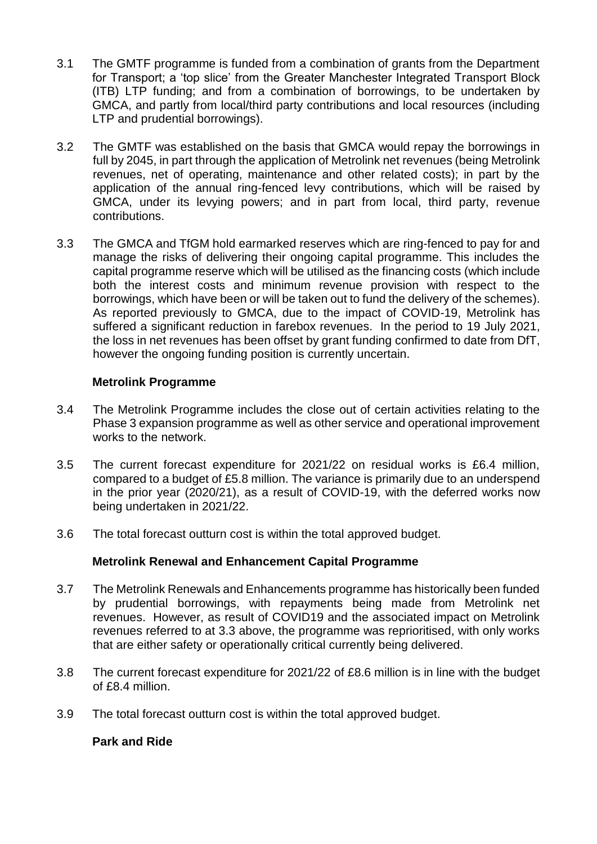- 3.1 The GMTF programme is funded from a combination of grants from the Department for Transport; a 'top slice' from the Greater Manchester Integrated Transport Block (ITB) LTP funding; and from a combination of borrowings, to be undertaken by GMCA, and partly from local/third party contributions and local resources (including LTP and prudential borrowings).
- 3.2 The GMTF was established on the basis that GMCA would repay the borrowings in full by 2045, in part through the application of Metrolink net revenues (being Metrolink revenues, net of operating, maintenance and other related costs); in part by the application of the annual ring-fenced levy contributions, which will be raised by GMCA, under its levying powers; and in part from local, third party, revenue contributions.
- 3.3 The GMCA and TfGM hold earmarked reserves which are ring-fenced to pay for and manage the risks of delivering their ongoing capital programme. This includes the capital programme reserve which will be utilised as the financing costs (which include both the interest costs and minimum revenue provision with respect to the borrowings, which have been or will be taken out to fund the delivery of the schemes). As reported previously to GMCA, due to the impact of COVID-19, Metrolink has suffered a significant reduction in farebox revenues. In the period to 19 July 2021, the loss in net revenues has been offset by grant funding confirmed to date from DfT, however the ongoing funding position is currently uncertain.

## **Metrolink Programme**

- 3.4 The Metrolink Programme includes the close out of certain activities relating to the Phase 3 expansion programme as well as other service and operational improvement works to the network.
- 3.5 The current forecast expenditure for 2021/22 on residual works is £6.4 million, compared to a budget of £5.8 million. The variance is primarily due to an underspend in the prior year (2020/21), as a result of COVID-19, with the deferred works now being undertaken in 2021/22.
- 3.6 The total forecast outturn cost is within the total approved budget.

## **Metrolink Renewal and Enhancement Capital Programme**

- 3.7 The Metrolink Renewals and Enhancements programme has historically been funded by prudential borrowings, with repayments being made from Metrolink net revenues. However, as result of COVID19 and the associated impact on Metrolink revenues referred to at 3.3 above, the programme was reprioritised, with only works that are either safety or operationally critical currently being delivered.
- 3.8 The current forecast expenditure for 2021/22 of £8.6 million is in line with the budget of £8.4 million.
- 3.9 The total forecast outturn cost is within the total approved budget.

### **Park and Ride**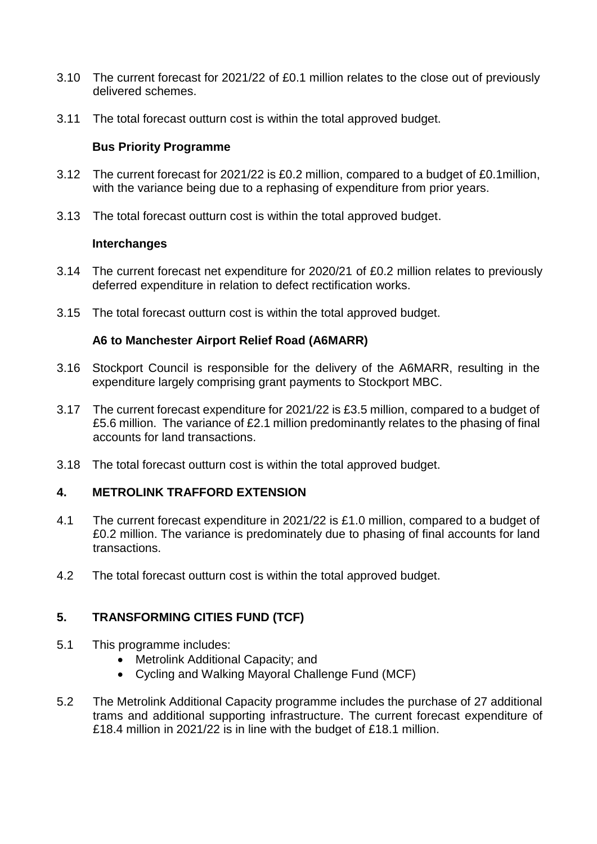- 3.10 The current forecast for 2021/22 of £0.1 million relates to the close out of previously delivered schemes.
- 3.11 The total forecast outturn cost is within the total approved budget.

## **Bus Priority Programme**

- 3.12 The current forecast for 2021/22 is £0.2 million, compared to a budget of £0.1million, with the variance being due to a rephasing of expenditure from prior years.
- 3.13 The total forecast outturn cost is within the total approved budget.

### **Interchanges**

- 3.14 The current forecast net expenditure for 2020/21 of £0.2 million relates to previously deferred expenditure in relation to defect rectification works.
- 3.15 The total forecast outturn cost is within the total approved budget.

### **A6 to Manchester Airport Relief Road (A6MARR)**

- 3.16 Stockport Council is responsible for the delivery of the A6MARR, resulting in the expenditure largely comprising grant payments to Stockport MBC.
- 3.17 The current forecast expenditure for 2021/22 is £3.5 million, compared to a budget of £5.6 million. The variance of £2.1 million predominantly relates to the phasing of final accounts for land transactions.
- 3.18 The total forecast outturn cost is within the total approved budget.

## **4. METROLINK TRAFFORD EXTENSION**

- 4.1 The current forecast expenditure in 2021/22 is £1.0 million, compared to a budget of £0.2 million. The variance is predominately due to phasing of final accounts for land transactions.
- 4.2 The total forecast outturn cost is within the total approved budget.

## **5. TRANSFORMING CITIES FUND (TCF)**

- 5.1 This programme includes:
	- Metrolink Additional Capacity; and
	- Cycling and Walking Mayoral Challenge Fund (MCF)
- 5.2 The Metrolink Additional Capacity programme includes the purchase of 27 additional trams and additional supporting infrastructure. The current forecast expenditure of £18.4 million in 2021/22 is in line with the budget of £18.1 million.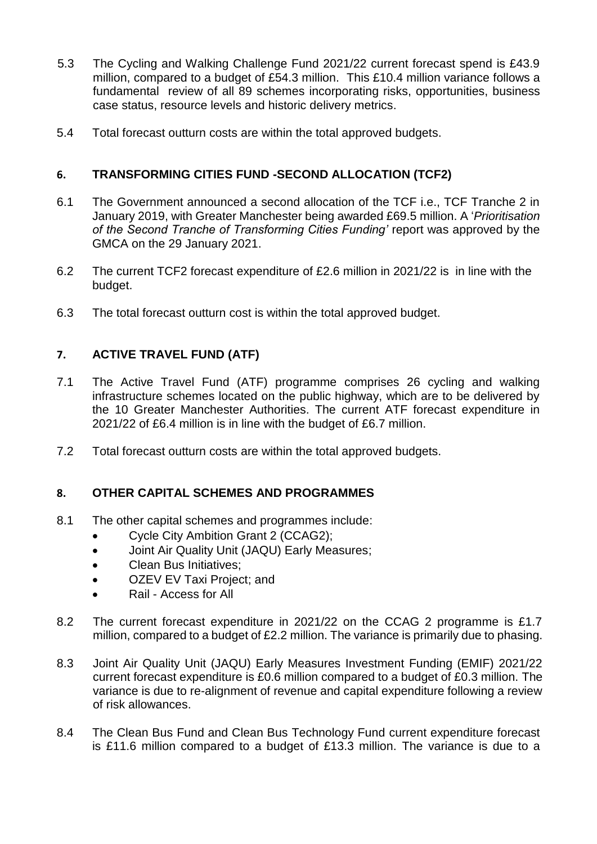- 5.3 The Cycling and Walking Challenge Fund 2021/22 current forecast spend is £43.9 million, compared to a budget of £54.3 million. This £10.4 million variance follows a fundamental review of all 89 schemes incorporating risks, opportunities, business case status, resource levels and historic delivery metrics.
- 5.4 Total forecast outturn costs are within the total approved budgets.

## **6. TRANSFORMING CITIES FUND -SECOND ALLOCATION (TCF2)**

- 6.1 The Government announced a second allocation of the TCF i.e., TCF Tranche 2 in January 2019, with Greater Manchester being awarded £69.5 million. A '*Prioritisation of the Second Tranche of Transforming Cities Funding'* report was approved by the GMCA on the 29 January 2021.
- 6.2 The current TCF2 forecast expenditure of £2.6 million in 2021/22 is in line with the budget.
- 6.3 The total forecast outturn cost is within the total approved budget.

## **7. ACTIVE TRAVEL FUND (ATF)**

- 7.1 The Active Travel Fund (ATF) programme comprises 26 cycling and walking infrastructure schemes located on the public highway, which are to be delivered by the 10 Greater Manchester Authorities. The current ATF forecast expenditure in 2021/22 of £6.4 million is in line with the budget of £6.7 million.
- 7.2 Total forecast outturn costs are within the total approved budgets.

## **8. OTHER CAPITAL SCHEMES AND PROGRAMMES**

- 8.1 The other capital schemes and programmes include:
	- Cycle City Ambition Grant 2 (CCAG2);
	- Joint Air Quality Unit (JAQU) Early Measures;
	- Clean Bus Initiatives;
	- OZEV EV Taxi Project; and
	- Rail Access for All
- 8.2 The current forecast expenditure in 2021/22 on the CCAG 2 programme is £1.7 million, compared to a budget of £2.2 million. The variance is primarily due to phasing.
- 8.3 Joint Air Quality Unit (JAQU) Early Measures Investment Funding (EMIF) 2021/22 current forecast expenditure is £0.6 million compared to a budget of £0.3 million. The variance is due to re-alignment of revenue and capital expenditure following a review of risk allowances.
- 8.4 The Clean Bus Fund and Clean Bus Technology Fund current expenditure forecast is £11.6 million compared to a budget of £13.3 million. The variance is due to a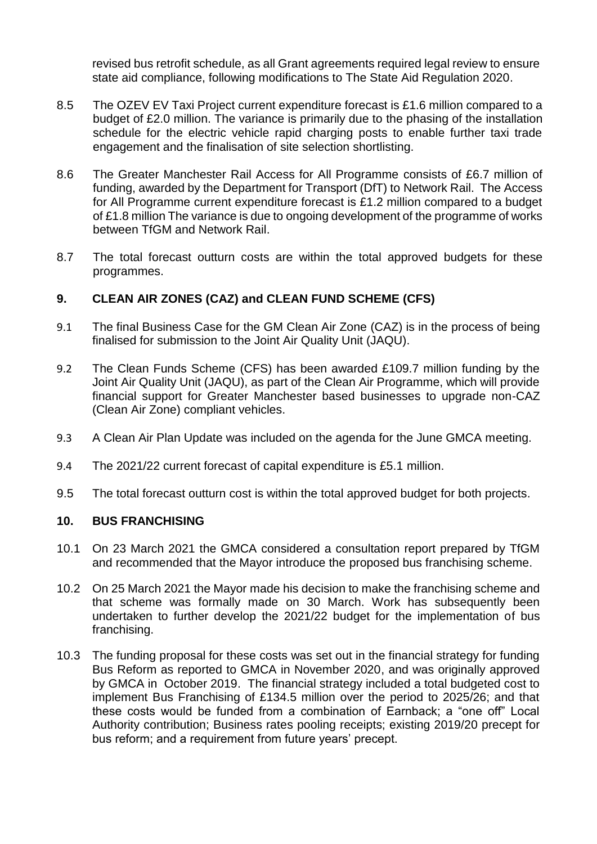revised bus retrofit schedule, as all Grant agreements required legal review to ensure state aid compliance, following modifications to The State Aid Regulation 2020.

- 8.5 The OZEV EV Taxi Project current expenditure forecast is £1.6 million compared to a budget of £2.0 million. The variance is primarily due to the phasing of the installation schedule for the electric vehicle rapid charging posts to enable further taxi trade engagement and the finalisation of site selection shortlisting.
- 8.6 The Greater Manchester Rail Access for All Programme consists of £6.7 million of funding, awarded by the Department for Transport (DfT) to Network Rail. The Access for All Programme current expenditure forecast is £1.2 million compared to a budget of £1.8 million The variance is due to ongoing development of the programme of works between TfGM and Network Rail.
- 8.7 The total forecast outturn costs are within the total approved budgets for these programmes.

### **9. CLEAN AIR ZONES (CAZ) and CLEAN FUND SCHEME (CFS)**

- 9.1 The final Business Case for the GM Clean Air Zone (CAZ) is in the process of being finalised for submission to the Joint Air Quality Unit (JAQU).
- 9.2 The Clean Funds Scheme (CFS) has been awarded £109.7 million funding by the Joint Air Quality Unit (JAQU), as part of the Clean Air Programme, which will provide financial support for Greater Manchester based businesses to upgrade non-CAZ (Clean Air Zone) compliant vehicles.
- 9.3 A Clean Air Plan Update was included on the agenda for the June GMCA meeting.
- 9.4 The 2021/22 current forecast of capital expenditure is £5.1 million.
- 9.5 The total forecast outturn cost is within the total approved budget for both projects.

### **10. BUS FRANCHISING**

- 10.1 On 23 March 2021 the GMCA considered a consultation report prepared by TfGM and recommended that the Mayor introduce the proposed bus franchising scheme.
- 10.2 On 25 March 2021 the Mayor made his decision to make the franchising scheme and that scheme was formally made on 30 March. Work has subsequently been undertaken to further develop the 2021/22 budget for the implementation of bus franchising.
- 10.3 The funding proposal for these costs was set out in the financial strategy for funding Bus Reform as reported to GMCA in November 2020, and was originally approved by GMCA in October 2019. The financial strategy included a total budgeted cost to implement Bus Franchising of £134.5 million over the period to 2025/26; and that these costs would be funded from a combination of Earnback; a "one off" Local Authority contribution; Business rates pooling receipts; existing 2019/20 precept for bus reform; and a requirement from future years' precept.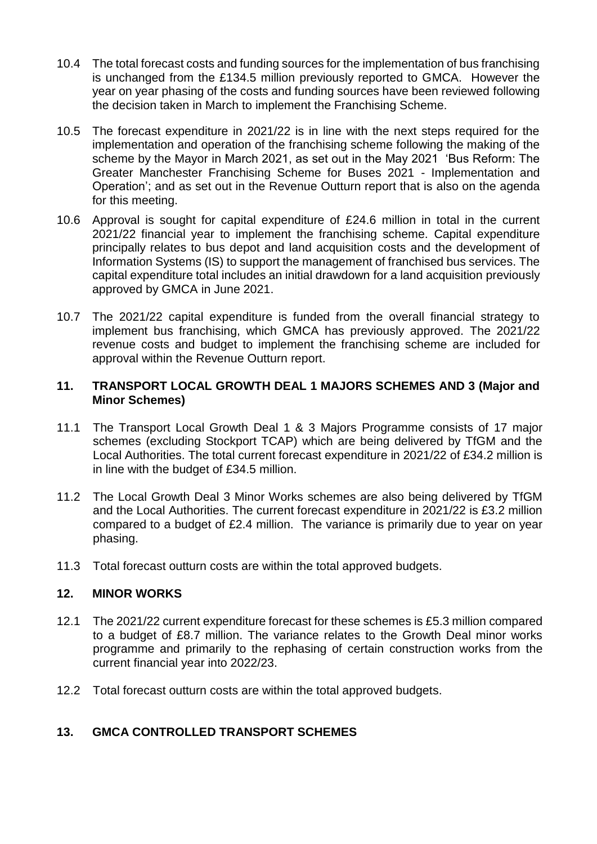- 10.4 The total forecast costs and funding sources for the implementation of bus franchising is unchanged from the £134.5 million previously reported to GMCA. However the year on year phasing of the costs and funding sources have been reviewed following the decision taken in March to implement the Franchising Scheme.
- 10.5 The forecast expenditure in 2021/22 is in line with the next steps required for the implementation and operation of the franchising scheme following the making of the scheme by the Mayor in March 2021, as set out in the May 2021 'Bus Reform: The Greater Manchester Franchising Scheme for Buses 2021 - Implementation and Operation'; and as set out in the Revenue Outturn report that is also on the agenda for this meeting.
- 10.6 Approval is sought for capital expenditure of £24.6 million in total in the current 2021/22 financial year to implement the franchising scheme. Capital expenditure principally relates to bus depot and land acquisition costs and the development of Information Systems (IS) to support the management of franchised bus services. The capital expenditure total includes an initial drawdown for a land acquisition previously approved by GMCA in June 2021.
- 10.7 The 2021/22 capital expenditure is funded from the overall financial strategy to implement bus franchising, which GMCA has previously approved. The 2021/22 revenue costs and budget to implement the franchising scheme are included for approval within the Revenue Outturn report.

### **11. TRANSPORT LOCAL GROWTH DEAL 1 MAJORS SCHEMES AND 3 (Major and Minor Schemes)**

- 11.1 The Transport Local Growth Deal 1 & 3 Majors Programme consists of 17 major schemes (excluding Stockport TCAP) which are being delivered by TfGM and the Local Authorities. The total current forecast expenditure in 2021/22 of £34.2 million is in line with the budget of £34.5 million.
- 11.2 The Local Growth Deal 3 Minor Works schemes are also being delivered by TfGM and the Local Authorities. The current forecast expenditure in 2021/22 is £3.2 million compared to a budget of £2.4 million. The variance is primarily due to year on year phasing.
- 11.3 Total forecast outturn costs are within the total approved budgets.

### **12. MINOR WORKS**

- 12.1 The 2021/22 current expenditure forecast for these schemes is £5.3 million compared to a budget of £8.7 million. The variance relates to the Growth Deal minor works programme and primarily to the rephasing of certain construction works from the current financial year into 2022/23.
- 12.2 Total forecast outturn costs are within the total approved budgets.

## **13. GMCA CONTROLLED TRANSPORT SCHEMES**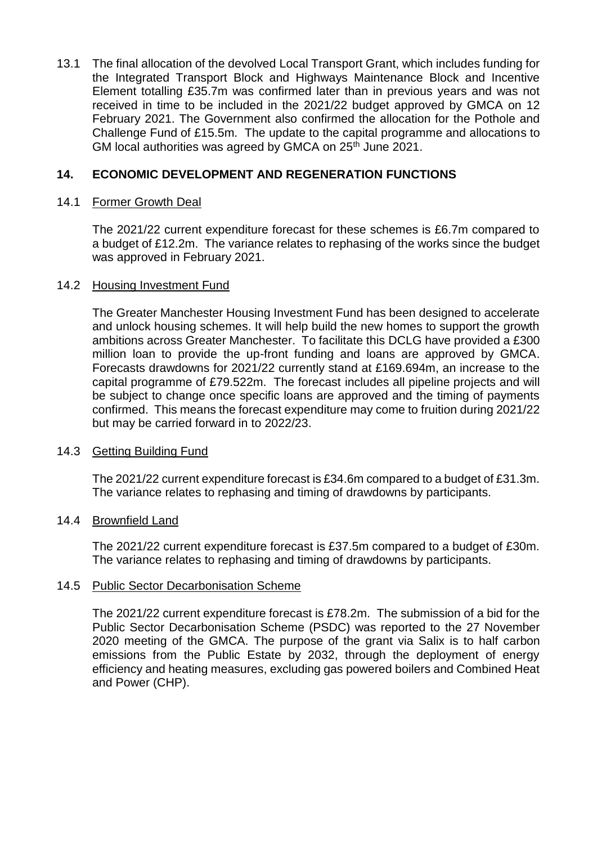13.1 The final allocation of the devolved Local Transport Grant, which includes funding for the Integrated Transport Block and Highways Maintenance Block and Incentive Element totalling £35.7m was confirmed later than in previous years and was not received in time to be included in the 2021/22 budget approved by GMCA on 12 February 2021. The Government also confirmed the allocation for the Pothole and Challenge Fund of £15.5m. The update to the capital programme and allocations to GM local authorities was agreed by GMCA on 25<sup>th</sup> June 2021.

## **14. ECONOMIC DEVELOPMENT AND REGENERATION FUNCTIONS**

#### 14.1 Former Growth Deal

The 2021/22 current expenditure forecast for these schemes is £6.7m compared to a budget of £12.2m. The variance relates to rephasing of the works since the budget was approved in February 2021.

#### 14.2 Housing Investment Fund

The Greater Manchester Housing Investment Fund has been designed to accelerate and unlock housing schemes. It will help build the new homes to support the growth ambitions across Greater Manchester. To facilitate this DCLG have provided a £300 million loan to provide the up-front funding and loans are approved by GMCA. Forecasts drawdowns for 2021/22 currently stand at £169.694m, an increase to the capital programme of £79.522m. The forecast includes all pipeline projects and will be subject to change once specific loans are approved and the timing of payments confirmed. This means the forecast expenditure may come to fruition during 2021/22 but may be carried forward in to 2022/23.

#### 14.3 Getting Building Fund

The 2021/22 current expenditure forecast is £34.6m compared to a budget of £31.3m. The variance relates to rephasing and timing of drawdowns by participants.

#### 14.4 Brownfield Land

The 2021/22 current expenditure forecast is £37.5m compared to a budget of £30m. The variance relates to rephasing and timing of drawdowns by participants.

#### 14.5 Public Sector Decarbonisation Scheme

The 2021/22 current expenditure forecast is £78.2m. The submission of a bid for the Public Sector Decarbonisation Scheme (PSDC) was reported to the 27 November 2020 meeting of the GMCA. The purpose of the grant via Salix is to half carbon emissions from the Public Estate by 2032, through the deployment of energy efficiency and heating measures, excluding gas powered boilers and Combined Heat and Power (CHP).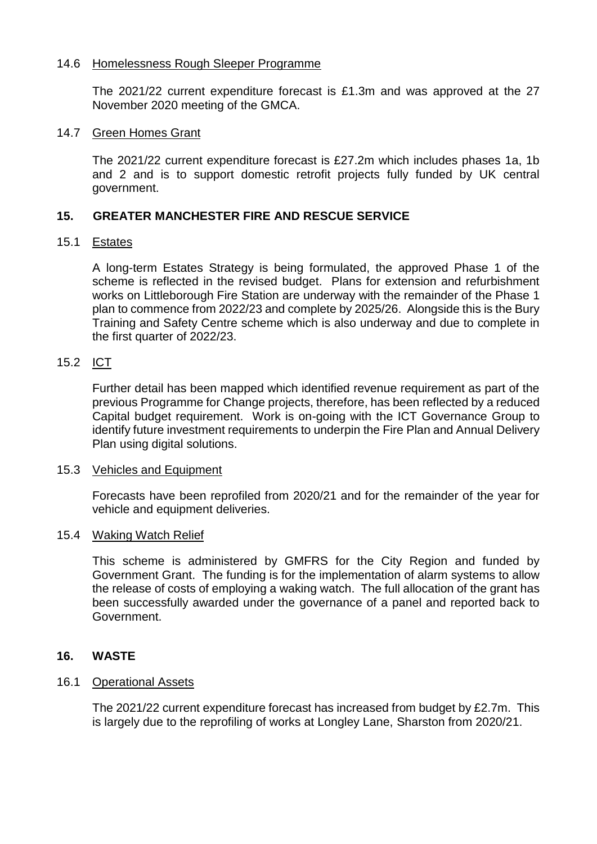### 14.6 Homelessness Rough Sleeper Programme

The 2021/22 current expenditure forecast is £1.3m and was approved at the 27 November 2020 meeting of the GMCA.

#### 14.7 Green Homes Grant

The 2021/22 current expenditure forecast is £27.2m which includes phases 1a, 1b and 2 and is to support domestic retrofit projects fully funded by UK central government.

### **15. GREATER MANCHESTER FIRE AND RESCUE SERVICE**

#### 15.1 Estates

A long-term Estates Strategy is being formulated, the approved Phase 1 of the scheme is reflected in the revised budget. Plans for extension and refurbishment works on Littleborough Fire Station are underway with the remainder of the Phase 1 plan to commence from 2022/23 and complete by 2025/26. Alongside this is the Bury Training and Safety Centre scheme which is also underway and due to complete in the first quarter of 2022/23.

### 15.2 ICT

Further detail has been mapped which identified revenue requirement as part of the previous Programme for Change projects, therefore, has been reflected by a reduced Capital budget requirement. Work is on-going with the ICT Governance Group to identify future investment requirements to underpin the Fire Plan and Annual Delivery Plan using digital solutions.

#### 15.3 Vehicles and Equipment

Forecasts have been reprofiled from 2020/21 and for the remainder of the year for vehicle and equipment deliveries.

### 15.4 Waking Watch Relief

This scheme is administered by GMFRS for the City Region and funded by Government Grant. The funding is for the implementation of alarm systems to allow the release of costs of employing a waking watch. The full allocation of the grant has been successfully awarded under the governance of a panel and reported back to Government.

### **16. WASTE**

### 16.1 Operational Assets

The 2021/22 current expenditure forecast has increased from budget by £2.7m. This is largely due to the reprofiling of works at Longley Lane, Sharston from 2020/21.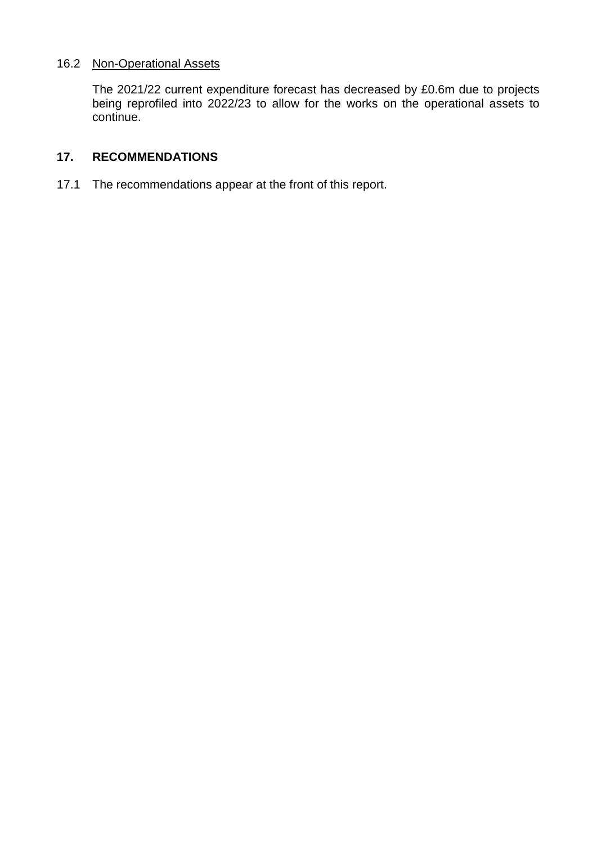# 16.2 Non-Operational Assets

The 2021/22 current expenditure forecast has decreased by £0.6m due to projects being reprofiled into 2022/23 to allow for the works on the operational assets to continue.

### **17. RECOMMENDATIONS**

17.1 The recommendations appear at the front of this report.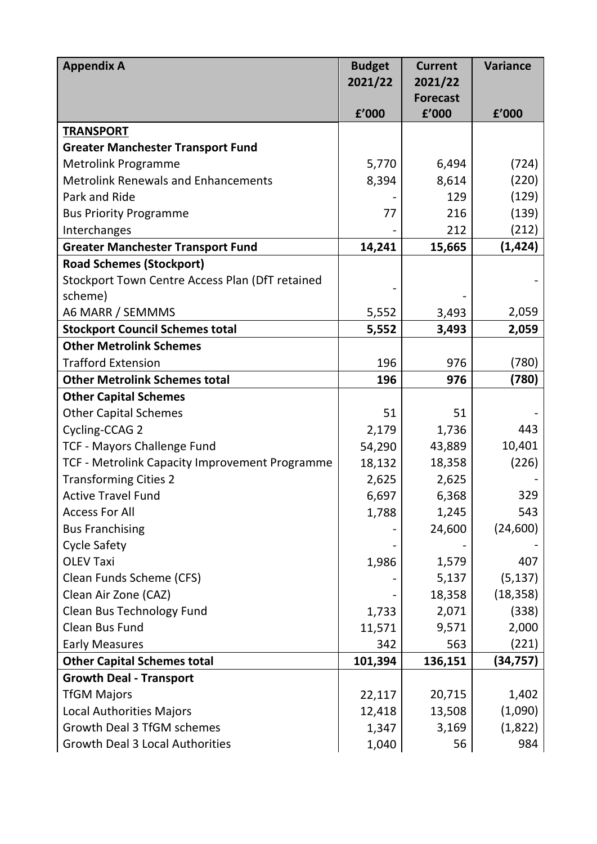| <b>Appendix A</b>                               | <b>Budget</b> | <b>Current</b>             | <b>Variance</b> |
|-------------------------------------------------|---------------|----------------------------|-----------------|
|                                                 | 2021/22       | 2021/22<br><b>Forecast</b> |                 |
|                                                 | f'000         | f'000                      | f'000           |
| <b>TRANSPORT</b>                                |               |                            |                 |
| <b>Greater Manchester Transport Fund</b>        |               |                            |                 |
| <b>Metrolink Programme</b>                      | 5,770         | 6,494                      | (724)           |
| <b>Metrolink Renewals and Enhancements</b>      | 8,394         | 8,614                      | (220)           |
| Park and Ride                                   |               | 129                        | (129)           |
| <b>Bus Priority Programme</b>                   | 77            | 216                        | (139)           |
| Interchanges                                    |               | 212                        | (212)           |
| <b>Greater Manchester Transport Fund</b>        | 14,241        | 15,665                     | (1, 424)        |
| <b>Road Schemes (Stockport)</b>                 |               |                            |                 |
| Stockport Town Centre Access Plan (DfT retained |               |                            |                 |
| scheme)                                         |               |                            |                 |
| A6 MARR / SEMMMS                                | 5,552         | 3,493                      | 2,059           |
| <b>Stockport Council Schemes total</b>          | 5,552         | 3,493                      | 2,059           |
| <b>Other Metrolink Schemes</b>                  |               |                            |                 |
| <b>Trafford Extension</b>                       | 196           | 976                        | (780)           |
| <b>Other Metrolink Schemes total</b>            | 196           | 976                        | (780)           |
| <b>Other Capital Schemes</b>                    |               |                            |                 |
| <b>Other Capital Schemes</b>                    | 51            | 51                         |                 |
| Cycling-CCAG 2                                  | 2,179         | 1,736                      | 443             |
| <b>TCF - Mayors Challenge Fund</b>              | 54,290        | 43,889                     | 10,401          |
| TCF - Metrolink Capacity Improvement Programme  | 18,132        | 18,358                     | (226)           |
| <b>Transforming Cities 2</b>                    | 2,625         | 2,625                      |                 |
| <b>Active Travel Fund</b>                       | 6,697         | 6,368                      | 329             |
| <b>Access For All</b>                           | 1,788         | 1,245                      | 543             |
| <b>Bus Franchising</b>                          |               | 24,600                     | (24, 600)       |
| <b>Cycle Safety</b>                             |               |                            |                 |
| <b>OLEV Taxi</b>                                | 1,986         | 1,579                      | 407             |
| Clean Funds Scheme (CFS)                        |               | 5,137                      | (5, 137)        |
| Clean Air Zone (CAZ)                            |               | 18,358                     | (18, 358)       |
| <b>Clean Bus Technology Fund</b>                | 1,733         | 2,071                      | (338)           |
| Clean Bus Fund                                  | 11,571        | 9,571                      | 2,000           |
| <b>Early Measures</b>                           | 342           | 563                        | (221)           |
| <b>Other Capital Schemes total</b>              | 101,394       | 136,151                    | (34,757)        |
| <b>Growth Deal - Transport</b>                  |               |                            |                 |
| <b>TfGM Majors</b>                              | 22,117        | 20,715                     | 1,402           |
| <b>Local Authorities Majors</b>                 | 12,418        | 13,508                     | (1,090)         |
| <b>Growth Deal 3 TfGM schemes</b>               | 1,347         | 3,169                      | (1,822)         |
| Growth Deal 3 Local Authorities                 | 1,040         | 56                         | 984             |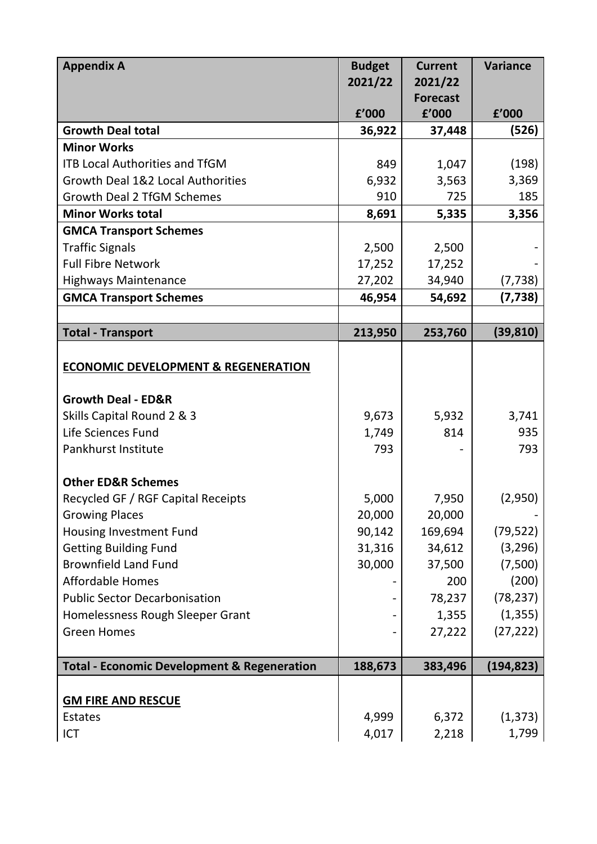| <b>Appendix A</b>                                      | <b>Budget</b> | <b>Current</b>           | <b>Variance</b> |
|--------------------------------------------------------|---------------|--------------------------|-----------------|
|                                                        | 2021/22       | 2021/22                  |                 |
|                                                        | f'000         | <b>Forecast</b><br>f'000 | f'000           |
| <b>Growth Deal total</b>                               | 36,922        | 37,448                   | (526)           |
| <b>Minor Works</b>                                     |               |                          |                 |
| <b>ITB Local Authorities and TfGM</b>                  | 849           | 1,047                    | (198)           |
| Growth Deal 1&2 Local Authorities                      | 6,932         | 3,563                    | 3,369           |
| <b>Growth Deal 2 TfGM Schemes</b>                      | 910           | 725                      | 185             |
| <b>Minor Works total</b>                               | 8,691         | 5,335                    | 3,356           |
| <b>GMCA Transport Schemes</b>                          |               |                          |                 |
| <b>Traffic Signals</b>                                 | 2,500         | 2,500                    |                 |
| <b>Full Fibre Network</b>                              | 17,252        | 17,252                   |                 |
| <b>Highways Maintenance</b>                            | 27,202        | 34,940                   | (7, 738)        |
| <b>GMCA Transport Schemes</b>                          | 46,954        | 54,692                   | (7, 738)        |
|                                                        |               |                          |                 |
| <b>Total - Transport</b>                               | 213,950       | 253,760                  | (39, 810)       |
|                                                        |               |                          |                 |
| <b>ECONOMIC DEVELOPMENT &amp; REGENERATION</b>         |               |                          |                 |
|                                                        |               |                          |                 |
| <b>Growth Deal - ED&amp;R</b>                          |               |                          |                 |
| Skills Capital Round 2 & 3                             | 9,673         | 5,932                    | 3,741           |
| Life Sciences Fund                                     | 1,749         | 814                      | 935             |
| Pankhurst Institute                                    | 793           |                          | 793             |
| <b>Other ED&amp;R Schemes</b>                          |               |                          |                 |
| Recycled GF / RGF Capital Receipts                     | 5,000         | 7,950                    | (2,950)         |
| <b>Growing Places</b>                                  | 20,000        | 20,000                   |                 |
| Housing Investment Fund                                | 90,142        | 169,694                  | (79, 522)       |
| <b>Getting Building Fund</b>                           | 31,316        | 34,612                   | (3, 296)        |
| <b>Brownfield Land Fund</b>                            | 30,000        | 37,500                   | (7,500)         |
| <b>Affordable Homes</b>                                |               | 200                      | (200)           |
| <b>Public Sector Decarbonisation</b>                   |               | 78,237                   | (78, 237)       |
| Homelessness Rough Sleeper Grant                       |               | 1,355                    | (1, 355)        |
| <b>Green Homes</b>                                     |               | 27,222                   | (27, 222)       |
|                                                        |               |                          |                 |
| <b>Total - Economic Development &amp; Regeneration</b> | 188,673       | 383,496                  | (194, 823)      |
|                                                        |               |                          |                 |
| <b>GM FIRE AND RESCUE</b>                              |               |                          |                 |
| <b>Estates</b>                                         | 4,999         | 6,372                    | (1, 373)        |
| ICT                                                    | 4,017         | 2,218                    | 1,799           |